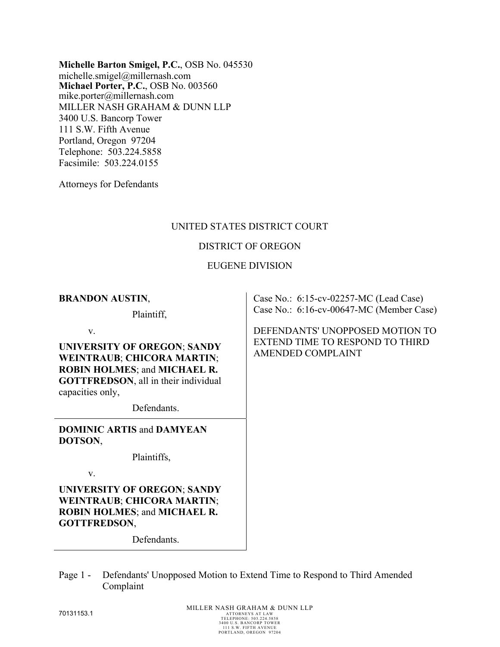**Michelle Barton Smigel, P.C.**, OSB No. 045530 michelle.smigel@millernash.com **Michael Porter, P.C.**, OSB No. 003560 mike.porter@millernash.com MILLER NASH GRAHAM & DUNN LLP 3400 U.S. Bancorp Tower 111 S.W. Fifth Avenue Portland, Oregon 97204 Telephone: 503.224.5858 Facsimile: 503.224.0155

Attorneys for Defendants

# UNITED STATES DISTRICT COURT

## DISTRICT OF OREGON

### EUGENE DIVISION

#### **BRANDON AUSTIN**,

Plaintiff,

v.

**UNIVERSITY OF OREGON**; **SANDY WEINTRAUB**; **CHICORA MARTIN**; **ROBIN HOLMES**; and **MICHAEL R. GOTTFREDSON**, all in their individual capacities only,

Defendants.

**DOMINIC ARTIS** and **DAMYEAN DOTSON**,

Plaintiffs,

v.

**UNIVERSITY OF OREGON**; **SANDY WEINTRAUB**; **CHICORA MARTIN**; **ROBIN HOLMES**; and **MICHAEL R. GOTTFREDSON**,

Defendants.

Page 1 - Defendants' Unopposed Motion to Extend Time to Respond to Third Amended Complaint

Case No.: 6:15-cv-02257-MC (Lead Case) Case No.: 6:16-cv-00647-MC (Member Case)

DEFENDANTS' UNOPPOSED MOTION TO EXTEND TIME TO RESPOND TO THIRD AMENDED COMPLAINT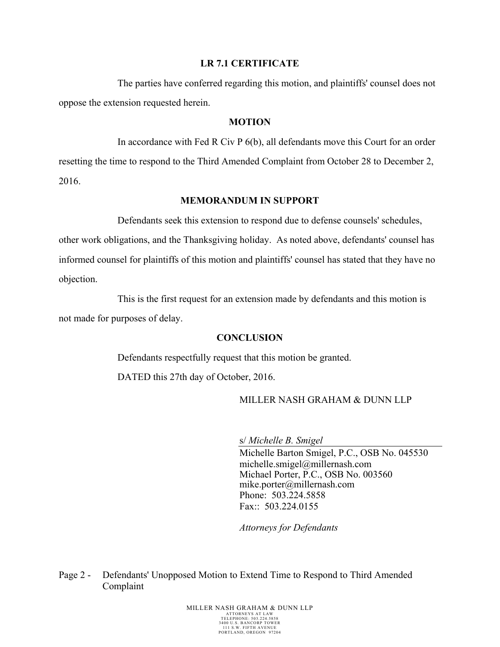### **LR 7.1 CERTIFICATE**

The parties have conferred regarding this motion, and plaintiffs' counsel does not oppose the extension requested herein.

### **MOTION**

In accordance with Fed R Civ P 6(b), all defendants move this Court for an order resetting the time to respond to the Third Amended Complaint from October 28 to December 2, 2016.

#### **MEMORANDUM IN SUPPORT**

Defendants seek this extension to respond due to defense counsels' schedules,

other work obligations, and the Thanksgiving holiday. As noted above, defendants' counsel has informed counsel for plaintiffs of this motion and plaintiffs' counsel has stated that they have no objection.

This is the first request for an extension made by defendants and this motion is not made for purposes of delay.

#### **CONCLUSION**

Defendants respectfully request that this motion be granted.

DATED this 27th day of October, 2016.

## MILLER NASH GRAHAM & DUNN LLP

s/ *Michelle B. Smigel* 

Michelle Barton Smigel, P.C., OSB No. 045530 michelle.smigel@millernash.com Michael Porter, P.C., OSB No. 003560 mike.porter@millernash.com Phone: 503.224.5858 Fax:: 503.224.0155

*Attorneys for Defendants* 

Page 2 - Defendants' Unopposed Motion to Extend Time to Respond to Third Amended Complaint

> MILLER NASH GRAHAM & DUNN LLP TELEPHONE: 503.224.5858 3400 U.S. BANCORP TOWER 111 S.W. FIFTH AVENUE PORTLAND, OREGON 97204